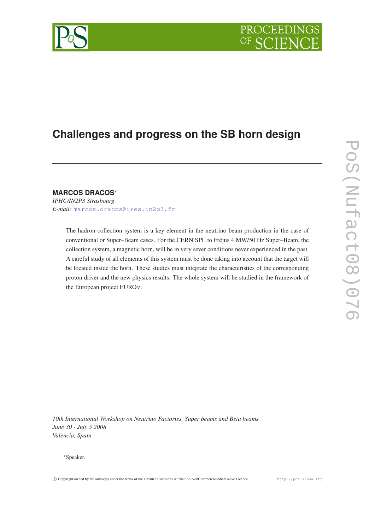# PROCEEDIN

## **Challenges and progress on the SB horn design**

### **MARCOS DRACOS**<sup>∗</sup>

*IPHC/IN2P3 Strasbourg E-mail:* [marcos.dracos@ires.in2p3.fr](mailto:marcos.dracos@ires.in2p3.fr)

> The hadron collection system is a key element in the neutrino beam production in the case of conventional or Super–Beam cases. For the CERN SPL to Fréjus 4 MW/50 Hz Super–Beam, the collection system, a magnetic horn, will be in very sever conditions never experienced in the past. A careful study of all elements of this system must be done taking into account that the target will be located inside the horn. These studies must integrate the characteristics of the corresponding proton driver and the new physics results. The whole system will be studied in the framework of the European project EUROν.

*10th International Workshop on Neutrino Factories, Super beams and Beta beams June 30 - July 5 2008 Valencia, Spain*

#### <sup>∗</sup>Speaker.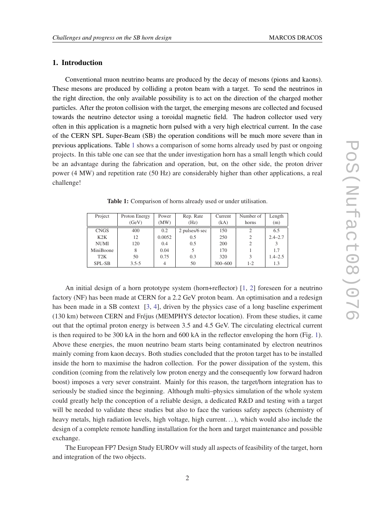#### 1. Introduction

Conventional muon neutrino beams are produced by the decay of mesons (pions and kaons). These mesons are produced by colliding a proton beam with a target. To send the neutrinos in the right direction, the only available possibility is to act on the direction of the charged mother particles. After the proton collision with the target, the emerging mesons are collected and focused towards the neutrino detector using a toroidal magnetic field. The hadron collector used very often in this application is a magnetic horn pulsed with a very high electrical current. In the case of the CERN SPL Super-Beam (SB) the operation conditions will be much more severe than in previous applications. Table 1 shows a comparison of some horns already used by past or ongoing projects. In this table one can see that the under investigation horn has a small length which could be an advantage during the fabrication and operation, but, on the other side, the proton driver power (4 MW) and repetition rate (50 Hz) are considerably higher than other applications, a real challenge!

Project Proton Energy Power Rep. Rate Current Number of Length  $(GeV)$   $(MW)$   $(Hz)$   $(kA)$   $horns$   $(m)$ CNGS 400 0.2 2 pulses/6 sec 150 2 6.5 K2K | 12 | 0.0052 | 0.5 | 250 | 2 | 2.4–2.7 NUMI 120 0.4 0.5 200 2 3 MiniBoone 8 0.04 5 170 1 1.7 T2K | 50 | 0.75 | 0.3 | 320 | 3 | 1.4–2.5 SPL-SB 3.5-5 4 50 300–600 1-2 1.3

Table 1: Comparison of horns already used or under utilisation.

An initial design of a horn prototype system (horn+reflector) [[1](#page-4-0), [2](#page-4-0)] foreseen for a neutrino factory (NF) has been made at CERN for a 2.2 GeV proton beam. An optimisation and a redesign has been made in a SB context [\[3,](#page-4-0) [4](#page-4-0)], driven by the physics case of a long baseline experiment (130 km) between CERN and Fréjus (MEMPHYS detector location). From these studies, it came out that the optimal proton energy is between 3.5 and 4.5 GeV. The circulating electrical current is then required to be 300 kA in the horn and 600 kA in the reflector enveloping the horn (Fig. [1\)](#page-2-0). Above these energies, the muon neutrino beam starts being contaminated by electron neutrinos mainly coming from kaon decays. Both studies concluded that the proton target has to be installed inside the horn to maximise the hadron collection. For the power dissipation of the system, this condition (coming from the relatively low proton energy and the consequently low forward hadron boost) imposes a very sever constraint. Mainly for this reason, the target/horn integration has to seriously be studied since the beginning. Although multi–physics simulation of the whole system could greatly help the conception of a reliable design, a dedicated R&D and testing with a target will be needed to validate these studies but also to face the various safety aspects (chemistry of heavy metals, high radiation levels, high voltage, high current...), which would also include the design of a complete remote handling installation for the horn and target maintenance and possible exchange.

The European FP7 Design Study EUROν will study all aspects of feasibility of the target, horn and integration of the two objects.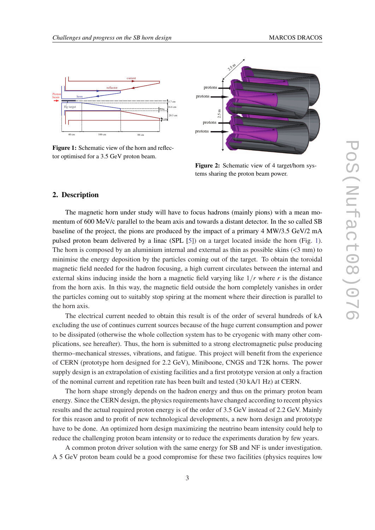<span id="page-2-0"></span>

Figure 1: Schematic view of the horn and reflec-



Figure 2: Schematic view of 4 target/horn systems sharing the proton beam power.

#### 2. Description

The magnetic horn under study will have to focus hadrons (mainly pions) with a mean momentum of 600 MeV/c parallel to the beam axis and towards a distant detector. In the so called SB baseline of the project, the pions are produced by the impact of a primary 4 MW/3.5 GeV/2 mA pulsed proton beam delivered by a linac (SPL [\[5\]](#page-4-0)) on a target located inside the horn (Fig. 1). The horn is composed by an aluminium internal and external as thin as possible skins  $\leq 3$  mm) to minimise the energy deposition by the particles coming out of the target. To obtain the toroidal magnetic field needed for the hadron focusing, a high current circulates between the internal and external skins inducing inside the horn a magnetic field varying like 1/*r* where *r* is the distance from the horn axis. In this way, the magnetic field outside the horn completely vanishes in order the particles coming out to suitably stop spiring at the moment where their direction is parallel to the horn axis.

The electrical current needed to obtain this result is of the order of several hundreds of kA excluding the use of continues current sources because of the huge current consumption and power to be dissipated (otherwise the whole collection system has to be cryogenic with many other complications, see hereafter). Thus, the horn is submitted to a strong electromagnetic pulse producing thermo–mechanical stresses, vibrations, and fatigue. This project will benefit from the experience of CERN (prototype horn designed for 2.2 GeV), Miniboone, CNGS and T2K horns. The power supply design is an extrapolation of existing facilities and a first prototype version at only a fraction of the nominal current and repetition rate has been built and tested (30 kA/1 Hz) at CERN.

The horn shape strongly depends on the hadron energy and thus on the primary proton beam energy. Since the CERN design, the physics requirements have changed according to recent physics results and the actual required proton energy is of the order of 3.5 GeV instead of 2.2 GeV. Mainly for this reason and to profit of new technological developments, a new horn design and prototype have to be done. An optimized horn design maximizing the neutrino beam intensity could help to reduce the challenging proton beam intensity or to reduce the experiments duration by few years.

A common proton driver solution with the same energy for SB and NF is under investigation. A 5 GeV proton beam could be a good compromise for these two facilities (physics requires low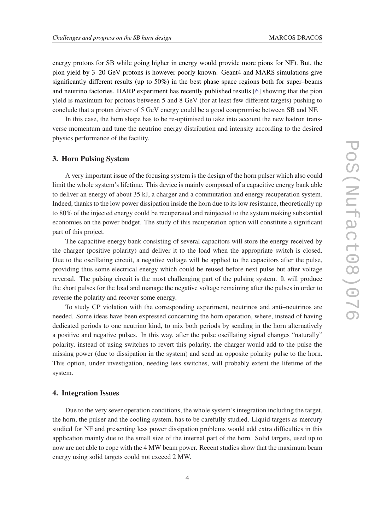energy protons for SB while going higher in energy would provide more pions for NF). But, the pion yield by 3–20 GeV protons is however poorly known. Geant4 and MARS simulations give significantly different results (up to 50%) in the best phase space regions both for super–beams and neutrino factories. HARP experiment has recently published results [\[6\]](#page-4-0) showing that the pion yield is maximum for protons between 5 and 8 GeV (for at least few different targets) pushing to conclude that a proton driver of 5 GeV energy could be a good compromise between SB and NF.

In this case, the horn shape has to be re-optimised to take into account the new hadron transverse momentum and tune the neutrino energy distribution and intensity according to the desired physics performance of the facility.

#### 3. Horn Pulsing System

A very important issue of the focusing system is the design of the horn pulser which also could limit the whole system's lifetime. This device is mainly composed of a capacitive energy bank able to deliver an energy of about 35 kJ, a charger and a commutation and energy recuperation system. Indeed, thanks to the low power dissipation inside the horn due to its low resistance, theoretically up to 80% of the injected energy could be recuperated and reinjected to the system making substantial economies on the power budget. The study of this recuperation option will constitute a significant part of this project.

The capacitive energy bank consisting of several capacitors will store the energy received by the charger (positive polarity) and deliver it to the load when the appropriate switch is closed. Due to the oscillating circuit, a negative voltage will be applied to the capacitors after the pulse, providing thus some electrical energy which could be reused before next pulse but after voltage reversal. The pulsing circuit is the most challenging part of the pulsing system. It will produce the short pulses for the load and manage the negative voltage remaining after the pulses in order to reverse the polarity and recover some energy.

To study CP violation with the corresponding experiment, neutrinos and anti–neutrinos are needed. Some ideas have been expressed concerning the horn operation, where, instead of having dedicated periods to one neutrino kind, to mix both periods by sending in the horn alternatively a positive and negative pulses. In this way, after the pulse oscillating signal changes "naturally" polarity, instead of using switches to revert this polarity, the charger would add to the pulse the missing power (due to dissipation in the system) and send an opposite polarity pulse to the horn. This option, under investigation, needing less switches, will probably extent the lifetime of the system.

#### 4. Integration Issues

Due to the very sever operation conditions, the whole system's integration including the target, the horn, the pulser and the cooling system, has to be carefully studied. Liquid targets as mercury studied for NF and presenting less power dissipation problems would add extra difficulties in this application mainly due to the small size of the internal part of the horn. Solid targets, used up to now are not able to cope with the 4 MW beam power. Recent studies show that the maximum beam energy using solid targets could not exceed 2 MW.